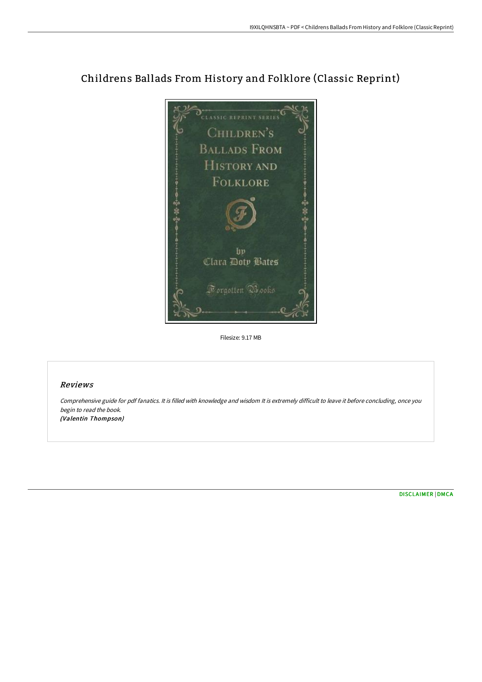## Childrens Ballads From History and Folklore (Classic Reprint)



Filesize: 9.17 MB

## Reviews

Comprehensive guide for pdf fanatics. It is filled with knowledge and wisdom It is extremely difficult to leave it before concluding, once you begin to read the book. (Valentin Thompson)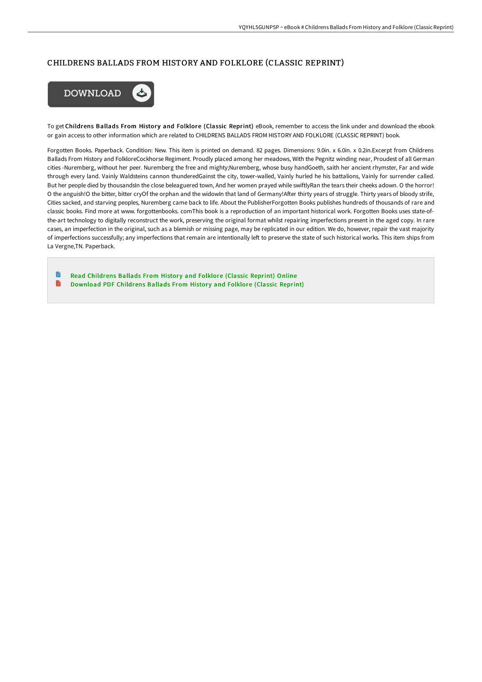## CHILDRENS BALLADS FROM HISTORY AND FOLKLORE (CLASSIC REPRINT)



To get Childrens Ballads From History and Folklore (Classic Reprint) eBook, remember to access the link under and download the ebook or gain access to other information which are related to CHILDRENS BALLADS FROM HISTORY AND FOLKLORE (CLASSIC REPRINT) book.

Forgotten Books. Paperback. Condition: New. This item is printed on demand. 82 pages. Dimensions: 9.0in. x 6.0in. x 0.2in.Excerpt from Childrens Ballads From History and FolkloreCockhorse Regiment. Proudly placed among her meadows, With the Pegnitz winding near, Proudest of all German cities -Nuremberg, without her peer. Nuremberg the free and mighty;Nuremberg, whose busy handGoeth, saith her ancient rhymster, Far and wide through every land. Vainly Waldsteins cannon thunderedGainst the city, tower-walled, Vainly hurled he his battalions, Vainly for surrender called. But her people died by thousandsIn the close beleaguered town, And her women prayed while swiftlyRan the tears their cheeks adown. O the horror! O the anguish!O the bitter, bitter cryOf the orphan and the widowIn that land of Germany!AFer thirty years of struggle. Thirty years of bloody strife, Cities sacked, and starving peoples, Nuremberg came back to life. About the PublisherForgotten Books publishes hundreds of thousands of rare and classic books. Find more at www. forgottenbooks. comThis book is a reproduction of an important historical work. Forgotten Books uses state-ofthe-art technology to digitally reconstruct the work, preserving the original format whilst repairing imperfections present in the aged copy. In rare cases, an imperfection in the original, such as a blemish or missing page, may be replicated in our edition. We do, however, repair the vast majority of imperfections successfully; any imperfections that remain are intentionally left to preserve the state of such historical works. This item ships from La Vergne,TN. Paperback.

Read [Childrens](http://digilib.live/childrens-ballads-from-history-and-folklore-clas.html) Ballads From History and Folklore (Classic Reprint) Online  $\rightarrow$ [Download](http://digilib.live/childrens-ballads-from-history-and-folklore-clas.html) PDF Childrens Ballads From History and Folklore (Classic Reprint)